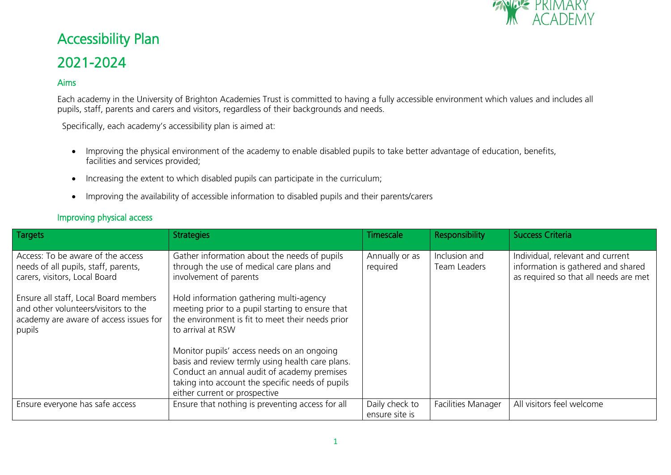

# Accessibility Plan 2021-2024

#### Aims

Each academy in the University of Brighton Academies Trust is committed to having a fully accessible environment which values and includes all pupils, staff, parents and carers and visitors, regardless of their backgrounds and needs.

Specifically, each academy's accessibility plan is aimed at:

- Improving the physical environment of the academy to enable disabled pupils to take better advantage of education, benefits, facilities and services provided;
- Increasing the extent to which disabled pupils can participate in the curriculum;
- Improving the availability of accessible information to disabled pupils and their parents/carers

#### Improving physical access

| <b>Targets</b>                                                                                                                                      | <b>Strategies</b>                                                                                                                                                                                                                  | Timescale                        | Responsibility                | <b>Success Criteria</b>                                                                                         |
|-----------------------------------------------------------------------------------------------------------------------------------------------------|------------------------------------------------------------------------------------------------------------------------------------------------------------------------------------------------------------------------------------|----------------------------------|-------------------------------|-----------------------------------------------------------------------------------------------------------------|
| Access: To be aware of the access<br>needs of all pupils, staff, parents,<br>carers, visitors, Local Board<br>Ensure all staff, Local Board members | Gather information about the needs of pupils<br>through the use of medical care plans and<br>involvement of parents<br>Hold information gathering multi-agency                                                                     | Annually or as<br>required       | Inclusion and<br>Team Leaders | Individual, relevant and current<br>information is gathered and shared<br>as required so that all needs are met |
| and other volunteers/visitors to the<br>academy are aware of access issues for<br>pupils                                                            | meeting prior to a pupil starting to ensure that<br>the environment is fit to meet their needs prior<br>to arrival at RSW                                                                                                          |                                  |                               |                                                                                                                 |
|                                                                                                                                                     | Monitor pupils' access needs on an ongoing<br>basis and review termly using health care plans.<br>Conduct an annual audit of academy premises<br>taking into account the specific needs of pupils<br>either current or prospective |                                  |                               |                                                                                                                 |
| Ensure everyone has safe access                                                                                                                     | Ensure that nothing is preventing access for all                                                                                                                                                                                   | Daily check to<br>ensure site is | <b>Facilities Manager</b>     | All visitors feel welcome                                                                                       |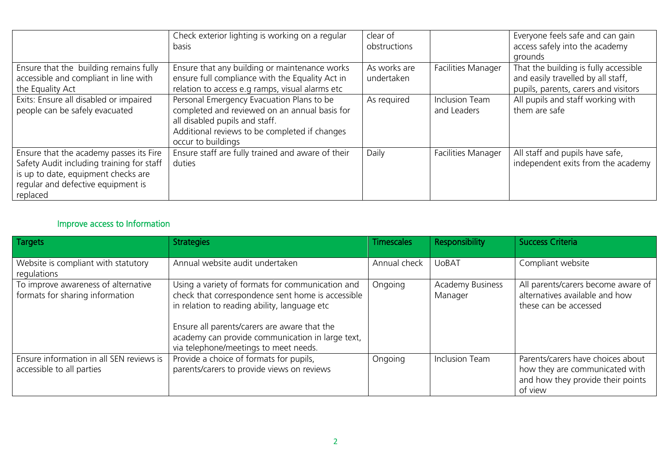|                                                                                                                                                                               | Check exterior lighting is working on a regular<br><b>basis</b>                                                                                                                                     | clear of<br>obstructions   |                                      | Everyone feels safe and can gain<br>access safely into the academy<br>grounds                                       |
|-------------------------------------------------------------------------------------------------------------------------------------------------------------------------------|-----------------------------------------------------------------------------------------------------------------------------------------------------------------------------------------------------|----------------------------|--------------------------------------|---------------------------------------------------------------------------------------------------------------------|
| Ensure that the building remains fully<br>accessible and compliant in line with<br>the Equality Act                                                                           | Ensure that any building or maintenance works<br>ensure full compliance with the Equality Act in<br>relation to access e.g ramps, visual alarms etc                                                 | As works are<br>undertaken | <b>Facilities Manager</b>            | That the building is fully accessible<br>and easily travelled by all staff,<br>pupils, parents, carers and visitors |
| Exits: Ensure all disabled or impaired<br>people can be safely evacuated                                                                                                      | Personal Emergency Evacuation Plans to be<br>completed and reviewed on an annual basis for<br>all disabled pupils and staff.<br>Additional reviews to be completed if changes<br>occur to buildings | As required                | <b>Inclusion Team</b><br>and Leaders | All pupils and staff working with<br>them are safe                                                                  |
| Ensure that the academy passes its Fire<br>Safety Audit including training for staff<br>is up to date, equipment checks are<br>regular and defective equipment is<br>replaced | Ensure staff are fully trained and aware of their<br>duties                                                                                                                                         | Daily                      | <b>Facilities Manager</b>            | All staff and pupils have safe,<br>independent exits from the academy                                               |

## Improve access to Information

| Targets                                                                | <b>Strategies</b>                                                                                                                                                                                                                                                                                  | <b>Timescales</b> | Responsibility                     | <b>Success Criteria</b>                                                                                             |
|------------------------------------------------------------------------|----------------------------------------------------------------------------------------------------------------------------------------------------------------------------------------------------------------------------------------------------------------------------------------------------|-------------------|------------------------------------|---------------------------------------------------------------------------------------------------------------------|
| Website is compliant with statutory<br>regulations                     | Annual website audit undertaken                                                                                                                                                                                                                                                                    | Annual check      | <b>UoBAT</b>                       | Compliant website                                                                                                   |
| To improve awareness of alternative<br>formats for sharing information | Using a variety of formats for communication and<br>check that correspondence sent home is accessible<br>in relation to reading ability, language etc<br>Ensure all parents/carers are aware that the<br>academy can provide communication in large text,<br>via telephone/meetings to meet needs. | Ongoing           | <b>Academy Business</b><br>Manager | All parents/carers become aware of<br>alternatives available and how<br>these can be accessed                       |
| Ensure information in all SEN reviews is<br>accessible to all parties  | Provide a choice of formats for pupils,<br>parents/carers to provide views on reviews                                                                                                                                                                                                              | Ongoing           | <b>Inclusion Team</b>              | Parents/carers have choices about<br>how they are communicated with<br>and how they provide their points<br>of view |